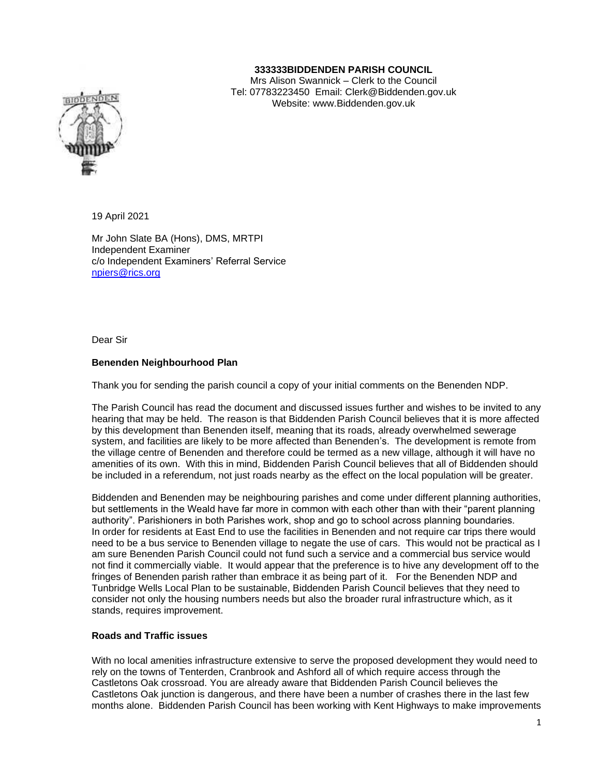## **333333BIDDENDEN PARISH COUNCIL**

Mrs Alison Swannick – Clerk to the Council Tel: 07783223450 Email: Clerk@Biddenden.gov.uk Website: www.Biddenden.gov.uk

19 April 2021

Mr John Slate BA (Hons), DMS, MRTPI Independent Examiner c/o Independent Examiners' Referral Service [npiers@rics.org](mailto:npiers@rics.org)

Dear Sir

#### **Benenden Neighbourhood Plan**

Thank you for sending the parish council a copy of your initial comments on the Benenden NDP.

The Parish Council has read the document and discussed issues further and wishes to be invited to any hearing that may be held. The reason is that Biddenden Parish Council believes that it is more affected by this development than Benenden itself, meaning that its roads, already overwhelmed sewerage system, and facilities are likely to be more affected than Benenden's. The development is remote from the village centre of Benenden and therefore could be termed as a new village, although it will have no amenities of its own. With this in mind, Biddenden Parish Council believes that all of Biddenden should be included in a referendum, not just roads nearby as the effect on the local population will be greater.

Biddenden and Benenden may be neighbouring parishes and come under different planning authorities, but settlements in the Weald have far more in common with each other than with their "parent planning authority". Parishioners in both Parishes work, shop and go to school across planning boundaries. In order for residents at East End to use the facilities in Benenden and not require car trips there would need to be a bus service to Benenden village to negate the use of cars. This would not be practical as I am sure Benenden Parish Council could not fund such a service and a commercial bus service would not find it commercially viable. It would appear that the preference is to hive any development off to the fringes of Benenden parish rather than embrace it as being part of it. For the Benenden NDP and Tunbridge Wells Local Plan to be sustainable, Biddenden Parish Council believes that they need to consider not only the housing numbers needs but also the broader rural infrastructure which, as it stands, requires improvement.

### **Roads and Traffic issues**

With no local amenities infrastructure extensive to serve the proposed development they would need to rely on the towns of Tenterden, Cranbrook and Ashford all of which require access through the Castletons Oak crossroad. You are already aware that Biddenden Parish Council believes the Castletons Oak junction is dangerous, and there have been a number of crashes there in the last few months alone. Biddenden Parish Council has been working with Kent Highways to make improvements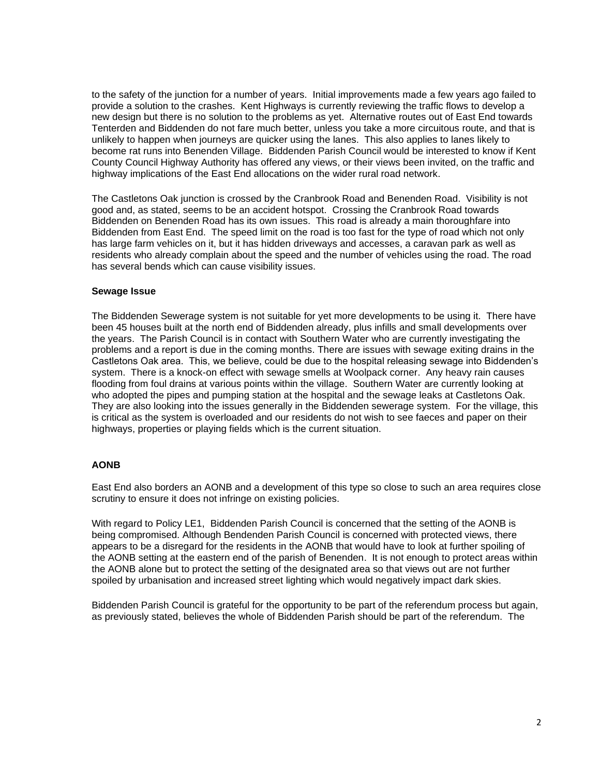to the safety of the junction for a number of years. Initial improvements made a few years ago failed to provide a solution to the crashes. Kent Highways is currently reviewing the traffic flows to develop a new design but there is no solution to the problems as yet. Alternative routes out of East End towards Tenterden and Biddenden do not fare much better, unless you take a more circuitous route, and that is unlikely to happen when journeys are quicker using the lanes. This also applies to lanes likely to become rat runs into Benenden Village. Biddenden Parish Council would be interested to know if Kent County Council Highway Authority has offered any views, or their views been invited, on the traffic and highway implications of the East End allocations on the wider rural road network.

The Castletons Oak junction is crossed by the Cranbrook Road and Benenden Road. Visibility is not good and, as stated, seems to be an accident hotspot. Crossing the Cranbrook Road towards Biddenden on Benenden Road has its own issues. This road is already a main thoroughfare into Biddenden from East End. The speed limit on the road is too fast for the type of road which not only has large farm vehicles on it, but it has hidden driveways and accesses, a caravan park as well as residents who already complain about the speed and the number of vehicles using the road. The road has several bends which can cause visibility issues.

### **Sewage Issue**

The Biddenden Sewerage system is not suitable for yet more developments to be using it. There have been 45 houses built at the north end of Biddenden already, plus infills and small developments over the years. The Parish Council is in contact with Southern Water who are currently investigating the problems and a report is due in the coming months. There are issues with sewage exiting drains in the Castletons Oak area. This, we believe, could be due to the hospital releasing sewage into Biddenden's system. There is a knock-on effect with sewage smells at Woolpack corner. Any heavy rain causes flooding from foul drains at various points within the village. Southern Water are currently looking at who adopted the pipes and pumping station at the hospital and the sewage leaks at Castletons Oak. They are also looking into the issues generally in the Biddenden sewerage system. For the village, this is critical as the system is overloaded and our residents do not wish to see faeces and paper on their highways, properties or playing fields which is the current situation.

# **AONB**

East End also borders an AONB and a development of this type so close to such an area requires close scrutiny to ensure it does not infringe on existing policies.

With regard to Policy LE1, Biddenden Parish Council is concerned that the setting of the AONB is being compromised. Although Bendenden Parish Council is concerned with protected views, there appears to be a disregard for the residents in the AONB that would have to look at further spoiling of the AONB setting at the eastern end of the parish of Benenden. It is not enough to protect areas within the AONB alone but to protect the setting of the designated area so that views out are not further spoiled by urbanisation and increased street lighting which would negatively impact dark skies.

Biddenden Parish Council is grateful for the opportunity to be part of the referendum process but again, as previously stated, believes the whole of Biddenden Parish should be part of the referendum. The